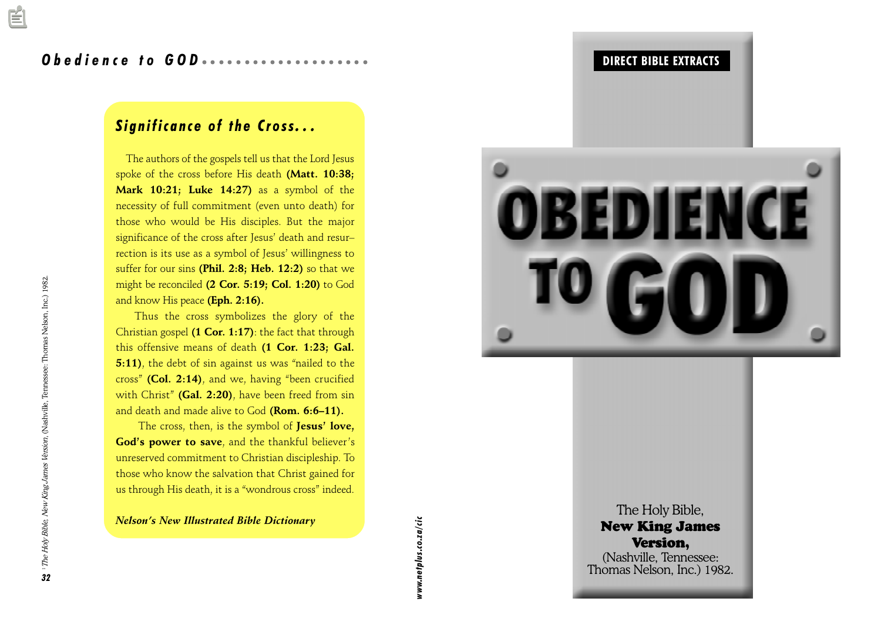### Significance of the Cross...

 The authors of the gospels tell us that the Lord Jesus spoke of the cross before His death (Matt. 10:38; Mark 10:21; Luke 14:27) as a symbol of the necessity of full commitment (even unto death) for those who would be His disciples. But the major significance of the cross after Jesus' death and resurrection is its use as a symbol of Jesus' willingness to suffer for our sins (Phil. 2:8; Heb. 12:2) so that we might be reconciled (2 Cor. 5:19; Col. 1:20) to God and know His peace (Eph. 2:16).

Thus the cross symbolizes the glory of the Christian gospel (1 Cor. 1:17): the fact that through this offensive means of death (1 Cor. 1:23; Gal. 5:11), the debt of sin against us was "nailed to the cross" (Col. 2:14), and we, having "been crucified with Christ" (Gal. 2:20), have been freed from  $sin$ and death and made alive to God (Rom. 6:6-11).

The cross, then, is the symbol of Jesus' love, God's power to save, and the thankful believer's unreserved commitment to Christian discipleship. To those who know the salvation that Christ gained for us through His death, it is a "wondrous cross" indeed.

Nelson's New Illustrated Bible Dictionary

aaaaaaaaaaaaaaaaaaaaaaaaaaaaaaaaaa aaaaa DIRECT BIBLE EXTRACTS

The New I V (Nashvi<br>Thomas N Nelson's New Illustrated Bible Dictionary<br>
States of the Second School of the Second School of the Second School of the Second School of the Second School of the Second School of the Second School of the Second School of t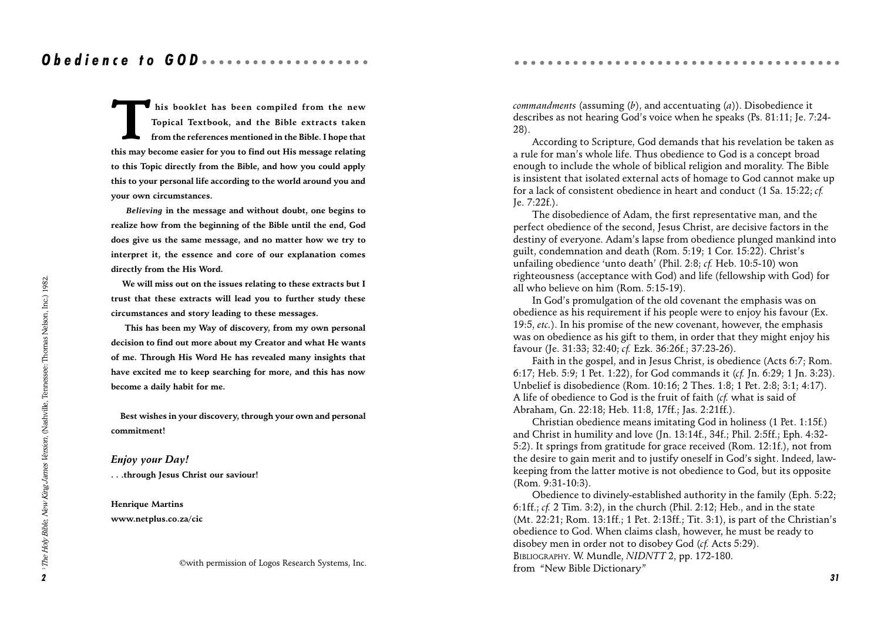This booklet has been compiled from the new<br>Topical Textbook, and the Bible extracts taken<br>from the references mentioned in the Bible. I hope that<br>this may become easier for you to find out His message relating Topical Textbook, and the Bible extracts taken from the references mentioned in the Bible. I hope that this may become easier for you to find out His message relating to this Topic directly from the Bible, and how you could apply this to your personal life according to the world around you and your own circumstances.

 *Believing* in the message and without doubt, one begins to realize how from the beginning of the Bible until the end, God does give us the same message, and no matter how we try to interpret it, the essence and core of our explanation comes directly from the His Word.

 We will miss out on the issues relating to these extracts but I trust that these extracts will lead you to further study these circumstances and story leading to these messages.

 This has been my Way of discovery, from my own personal decision to find out more about my Creator and what He wants of me. Through His Word He has revealed many insights that have excited me to keep searching for more, and this has now become a daily habit for me.

 Best wishes in your discovery, through your own and personal commitment!

Enjoy your Day! . . .through Jesus Christ our saviour!

Henrique Martins www.netplus.co.za/cic

©with permission of Logos Research Systems, Inc.

*commandments* (assuming  $(b)$ , and accentuating  $(a)$ ). Disobedience it describes as not hearing God's voice when he speaks (Ps. 81:11; Je. 7:24-28).

According to Scripture, God demands that his revelation be taken as a rule for man's whole life. Thus obedience to God is a concept broad enough to include the whole of biblical religion and morality. The Bible is insistent that isolated external acts of homage to God cannot make up for a lack of consistent obedience in heart and conduct (1 Sa. 15:22; cf. Je. 7:22f.).

The disobedience of Adam, the first representative man, and the perfect obedience of the second, Jesus Christ, are decisive factors in the destiny of everyone. Adam's lapse from obedience plunged mankind into guilt, condemnation and death (Rom. 5:19: 1 Cor. 15:22). Christ's unfailing obedience 'unto death' (Phil. 2:8;  $cf.$  Heb. 10:5-10) won righteousness (acceptance with God) and life (fellowship with God) for all who believe on him (Rom. 5:15-19).

In God's promulgation of the old covenant the emphasis was on obedience as his requirement if his people were to enjoy his favour (Ex. 19:5,  $etc.$ ). In his promise of the new covenant, however, the emphasis was on obedience as his gift to them, in order that they might enjoy his favour (Je. 31:33; 32:40; cf. Ezk. 36:26f.; 37:23-26).

Faith in the gospel, and in Jesus Christ, is obedience (Acts 6:7; Rom. 6:17; Heb. 5:9; 1 Pet. 1:22), for God commands it (cf. Jn. 6:29; 1 Jn. 3:23). Unbelief is disobedience (Rom. 10:16; 2 Thes. 1:8; 1 Pet. 2:8; 3:1; 4:17). A life of obedience to God is the fruit of faith (cf. what is said of Abraham, Gn. 22:18; Heb. 11:8, 17ff.; Jas. 2:21ff.).

Christian obedience means imitating God in holiness (1 Pet. 1:15f.) and Christ in humility and love (Jn. 13:14f., 34f.; Phil. 2:5ff.; Eph. 4:32- 5:2). It springs from gratitude for grace received (Rom. 12:1f.), not from the desire to gain merit and to justify oneself in God's sight. Indeed, lawkeeping from the latter motive is not obedience to God, but its opposite (Rom. 9:31-10:3).

Obedience to divinely-established authority in the family (Eph. 5:22; 6:1ff.; cf. 2 Tim. 3:2), in the church (Phil. 2:12; Heb., and in the state  $(Mt. 22:21; Rom. 13:1ff.; 1 Pet. 2:13ff.; Tit. 3:1),$  is part of the Christian's obedience to God. When claims clash, however, he must be ready to disobey men in order not to disobey God (cf. Acts 5:29). BIBLIOGRAPHY. W. Mundle, NIDNTT 2, pp. 172-180. from "New Bible Dictionary"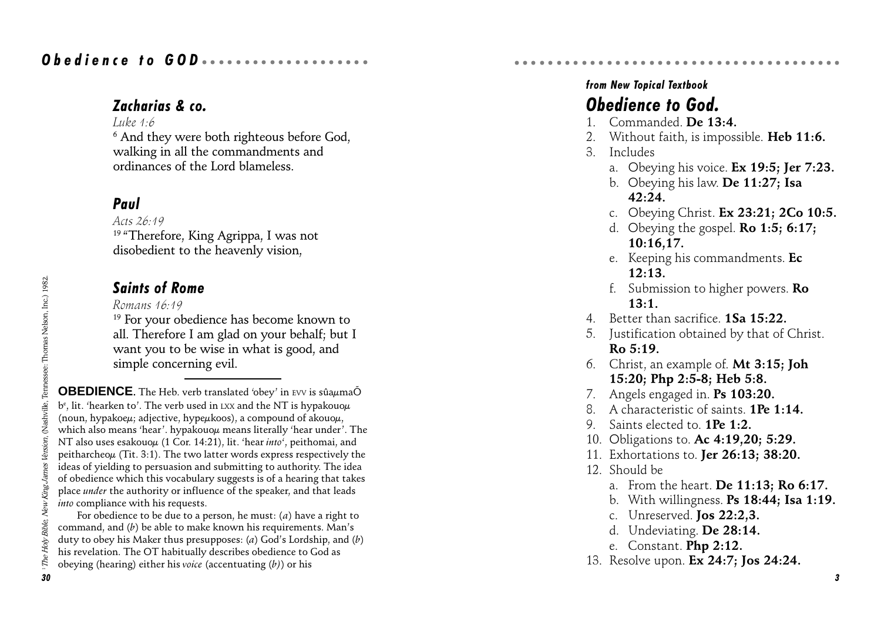### Zacharias & co.

#### Luke  $1:6$

 $^6$  And they were both righteous before God, walking in all the commandments and ordinances of the Lord blameless.

### Paul

Acts  $26.19$ <sup>19</sup> "Therefore, King Agrippa, I was not disobedient to the heavenly vision,

### Saints of Rome

Romans 16:19

<sup>19</sup> For your obedience has become known to all. Therefore I am glad on your behalf; but I want you to be wise in what is good, and simple concerning evil.

**OBEDIENCE**. The Heb. verb translated 'obey' in EVV is sûaµmaÕ b $\rm ^e$ , lit. 'hearken to'. The verb used in  $\rm LXX$  and the NT is hypakouo $\rm \mu$ (noun, hypakoeµ; adjective, hypeµkoos), a compound of akouoµ, which also means 'hear'. hypakouo $\mu$  means literally 'hear under'. The NT also uses esakouo $\mu$  (1 Cor. 14:21), lit. 'hear *into'*, peithomai, and peitharcheo $\mu$  (Tit. 3:1). The two latter words express respectively the ideas of yielding to persuasion and submitting to authority. The idea of obedience which this vocabulary suggests is of a hearing that takes place under the authority or influence of the speaker, and that leads into compliance with his requests.

For obedience to be due to a person, he must:  $(a)$  have a right to command, and  $(b)$  be able to make known his requirements. Man's duty to obey his Maker thus presupposes: (a) God's Lordship, and (b) his revelation. The OT habitually describes obedience to God as obeying (hearing) either his voice (accentuating  $(b)$ ) or his

### Obedience to God. from New Topical Textbook

1. Commanded. De 13:4.

aaaaaaaaaaaaaaaaaaaaaaaaaaaaaaaaaa aaaaa

- Without faith, is impossible. Heb 11:6.
- 3. Includes
	- a. Obeying his voice. Ex 19:5; Jer 7:23.
	- b. Obeying his law. De 11:27; Isa 42:24.
	- c. Obeying Christ. Ex 23:21; 2Co 10:5.
	- d. Obeying the gospel. Ro 1:5; 6:17; 10:16,17.
	- e. Keeping his commandments. Ec 12:13.
	- f. Submission to higher powers. Ro 13:1.
- 4. Better than sacrifice. **1Sa 15:22.**
- 5. Justification obtained by that of Christ.  $Ro. 5:19.$
- 6. Christ, an example of. Mt 3:15; Joh 15:20; Php 2:5-8; Heb 5:8.
- 7. Angels engaged in. Ps 103:20.
- A characteristic of saints. **1Pe 1:14.**
- 9. Saints elected to. **1Pe 1:2.**
- 10. Obligations to. Ac 4:19,20; 5:29.
- 11. Exhortations to. Jer 26:13; 38:20.
- 12. Should be
	- a. From the heart. De 11:13; Ro 6:17.
	- b. With willingness. Ps 18:44; Isa 1:19.
	- c. Unreserved. Jos 22:2,3.
	- d. Undeviating. De 28:14.
	- e. Constant. Php 2:12.
- 13. Resolve upon. Ex 24:7; Jos 24:24.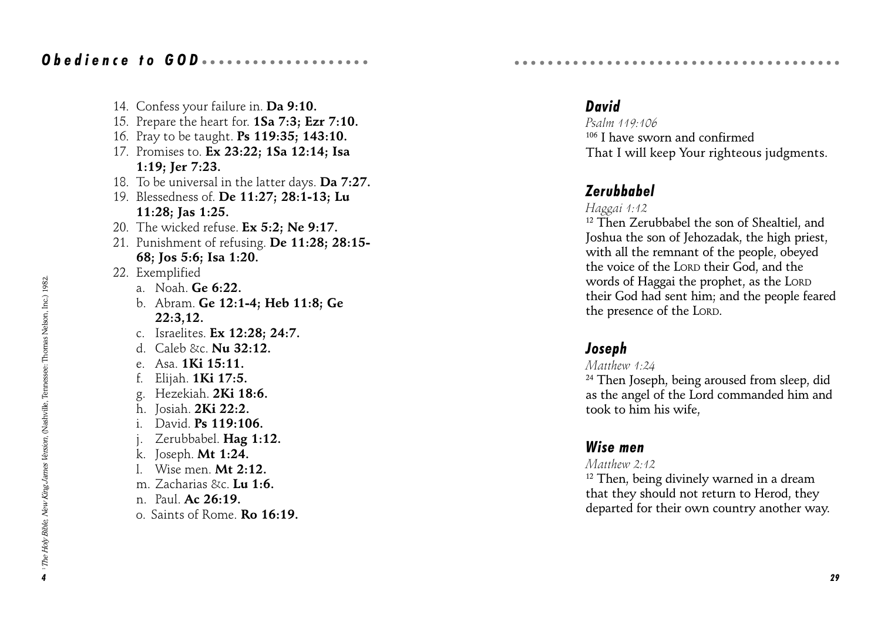14. Confess your failure in. Da 9:10. 15. Prepare the heart for. 1Sa 7:3; Ezr 7:10. 16. Pray to be taught. Ps 119:35; 143:10. 17. Promises to. Ex 23:22; 1Sa 12:14; Isa 1:19; Jer 7:23. 18. To be universal in the latter days. Da 7:27. 19. Blessedness of. De 11:27; 28:1-13; Lu 11:28; Jas 1:25. 20. The wicked refuse. Ex 5:2: Ne 9:17. 21. Punishment of refusing. De 11:28; 28:15- 68; Jos 5:6; Isa 1:20. 22. Exemplified a. Noah  $Ge 6:22$ . b. Abram. Ge 12:1-4; Heb 11:8; Ge 22:3,12. c. Israelites. Ex 12:28; 24:7. d. Caleb &c.  $\text{Nu}$  32:12. e. Asa. 1Ki 15:11. Elijah. **1Ki 17:5.** g. Hezekiah. 2Ki 18:6. h. Josiah. 2Ki 22:2. i. David. Ps 119:106. j. Zerubbabel. Hag 1:12. k. Joseph. Mt 1:24. l. Wise men. Mt 2:12. m. Zacharias &c. **Lu 1:6.** n. Paul. Ac 26:19. o. Saints of Rome. Ro 16:19.

### David

Psalm 119:106 106 I have sworn and confirmed That I will keep Your righteous judgments.

aaaaaaaaaaaaaaaaaaaaaaaaaaaaaaaaaa aaaaa

### Zerubbabel

#### Haggai 1:12

<sup>12</sup> Then Zerubbabel the son of Shealtiel, and Joshua the son of Jehozadak, the high priest, with all the remnant of the people, obeyed the voice of the LORD their God, and the words of Haggai the prophet, as the LORD their God had sent him; and the people feared the presence of the LORD.

### Joseph

#### Matthew 1:24

<sup>24</sup> Then Joseph, being aroused from sleep, did as the angel of the Lord commanded him and took to him his wife,

### Wise men

#### Matthew 2:42

 $12$  Then, being divinely warned in a dream that they should not return to Herod, they departed for their own country another way.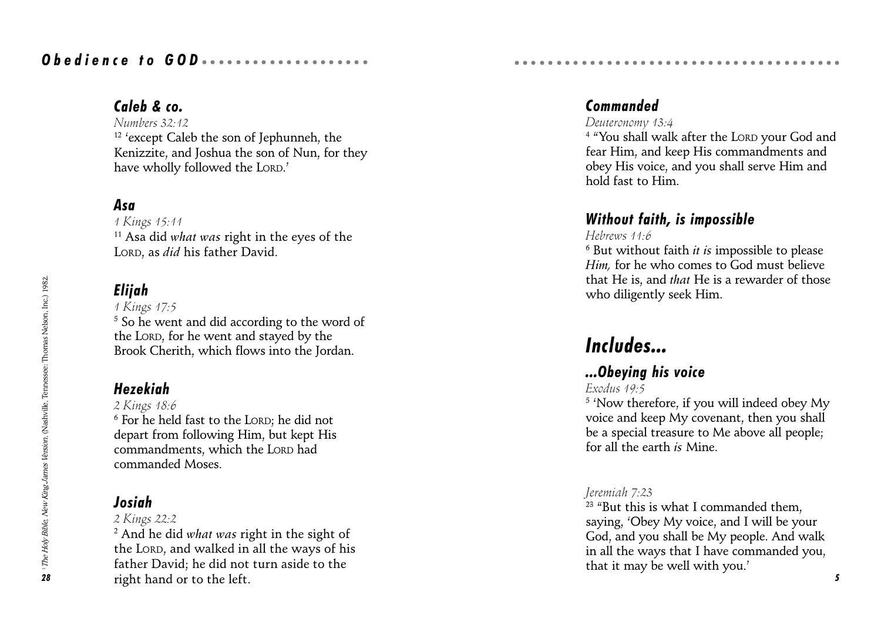### Caleb & co.

Numbers 32:12  $12$  'except Caleb the son of Jephunneh, the Kenizzite, and Joshua the son of Nun, for they have wholly followed the LORD.

### Asa

1 Kings 15:11  $11$  Asa did what was right in the eyes of the LORD, as *did* his father David.

### Elijah

1 Kings 17:5  $^5$  So he went and did according to the word of the LORD, for he went and stayed by the Brook Cherith, which flows into the Jordan.

### Hezekiah

2 Kings 18:6

 $^{\rm 6}$  For he held fast to the LORD; he did not depart from following Him, but kept His commandments, which the LORD had commanded Moses.

### Josiah

2 Kings 22:2

 $^{\rm 2}$  And he did w*hat was* right in the sight of the LORD, and walked in all the ways of his father David; he did not turn aside to the right hand or to the left.

### Commanded

#### Deuteronomy 13:4

<sup>4</sup> "You shall walk after the Lor. your God and fear Him, and keep His commandments and obey His voice, and you shall serve Him and hold fast to Him.

### Without faith, is impossible

aaaaaaaaaaaaaaaaaaaaaaaaaaaaaaaaaa aaaaa

#### Hebrews 11:6

 $^6$  But without faith *it is* impossible to please Him, for he who comes to God must believe that He is, and that He is a rewarder of those who diligently seek Him.

# Includes...

### ...Obeying his voice

#### Exodus 19:5

 $^{\rm 5}$  'Now therefore, if you will indeed obey My voice and keep My covenant, then you shall be a special treasure to Me above all people; for all the earth is Mine.

#### Jeremiah 7:23

 $23$  "But this is what I commanded them. saying, Obey My voice, and I will be your God, and you shall be My people. And walk in all the ways that I have commanded you, that it may be well with you.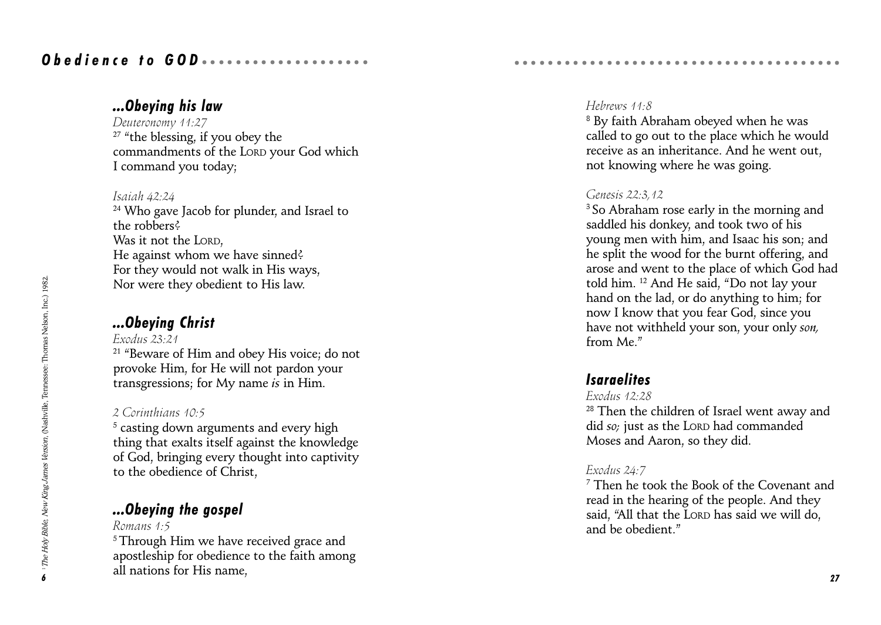### ...Obeying his law

Deuteronomy 11:27  $27$  "the blessing, if you obey the commandments of the LORD your God which I command you today;

#### Isaiah 42:24

<sup>24</sup> Who gave Jacob for plunder, and Israel to the robbers? Was it not the LORD, He against whom we have sinned? For they would not walk in His ways, Nor were they obedient to His law.

### ...Obeying Christ

Exodus 23:21

<sup>21</sup> "Beware of Him and obey His voice; do not provoke Him, for He will not pardon your transgressions; for My name is in Him.

#### 2 Corinthians 10:5

 $^5$  casting down arguments and every high thing that exalts itself against the knowledge of God, bringing every thought into captivity to the obedience of Christ,

### ...Obeying the gospel

Romans 1:5 <sup>5</sup> Through Him we have received grace and apostleship for obedience to the faith among all nations for His name, 27 and 2012 12:00 and 27 and 27 and 27 and 27 and 27 and 27 and 27 and 27 and 27 and 27

#### Hebrews 11:8

 $^{\rm 8}$  By faith Abraham obeyed when he was called to go out to the place which he would receive as an inheritance. And he went out, not knowing where he was going.

aaaaaaaaaaaaaaaaaaaaaaaaaaaaaaaaaa aaaaa

#### Genesis 22:3,12

<sup>3</sup> So Abraham rose early in the morning and saddled his donkey, and took two of his young men with him, and Isaac his son; and he split the wood for the burnt offering, and arose and went to the place of which God had told him. <sup>12</sup> And He said, "Do not lay your hand on the lad, or do anything to him; for now I know that you fear God, since you have not withheld your son, your only son, from Me.

### Isaraelites

#### Exodus 12:28

<sup>28</sup> Then the children of Israel went away and did so; just as the LORD had commanded Moses and Aaron, so they did.

#### Exodus 24:7

7 Then he took the Book of the Covenant and read in the hearing of the people. And they said, "All that the LORD has said we will do, and be obedient."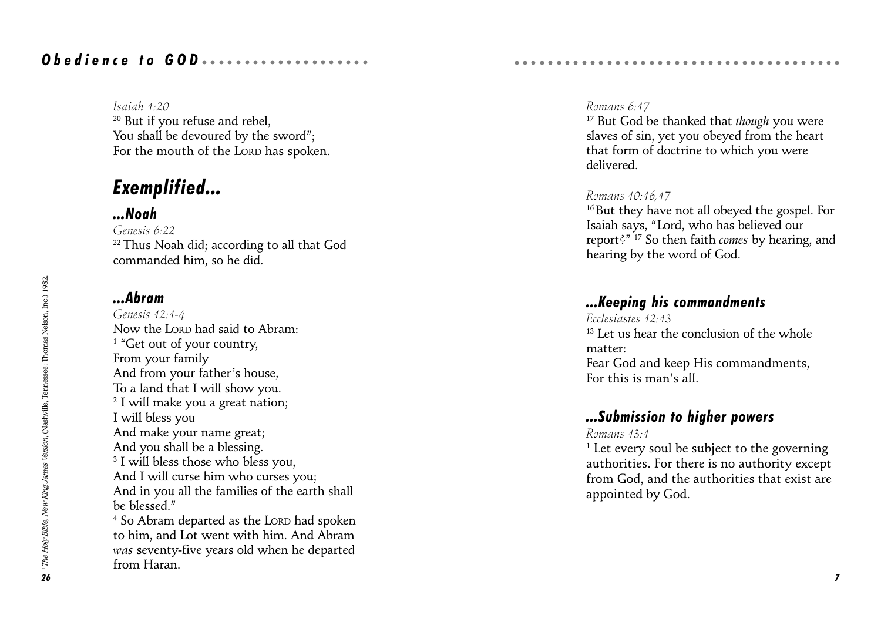Isaiah 1:20 <sup>20</sup> But if you refuse and rebel. You shall be devoured by the sword": For the mouth of the LORD has spoken.

## Exemplified...

### ...Noah

Genesis 6:22 <sup>22</sup> Thus Noah did; according to all that God commanded him, so he did.

### ...Abram

Genesis 12:1-4 Now the LORD had said to Abram: <sup>1</sup> "Get out of your country, From your family And from your father's house, To a land that I will show you.  $^2$  I will make you a great nation; I will bless you And make your name great; And you shall be a blessing. 3 I will bless those who bless you, And I will curse him who curses you; And in you all the families of the earth shall be blessed." 4 So Abram departed as the LORD had spoken to him, and Lot went with him. And Abram was seventy-five years old when he departed from Haran.

#### Romans 6:17

 $17$  But God be thanked that *though* you were slaves of sin, yet you obeyed from the heart that form of doctrine to which you were delivered.

aaaaaaaaaaaaaaaaaaaaaaaaaaaaaaaaaa aaaaa

#### Romans 10:16,17

<sup>16</sup> But they have not all obeyed the gospel. For Isaiah says, "Lord, who has believed our report?"  $17$  So then faith *comes* by hearing, and hearing by the word of God.

### ...Keeping his commandments

Ecclesiastes 12:13 <sup>13</sup> Let us hear the conclusion of the whole matter: Fear God and keep His commandments, For this is man's all.

### ...Submission to higher powers

Romans 13:1

 $^{\rm 1}$  Let every soul be subject to the governing authorities. For there is no authority except from God, and the authorities that exist are appointed by God.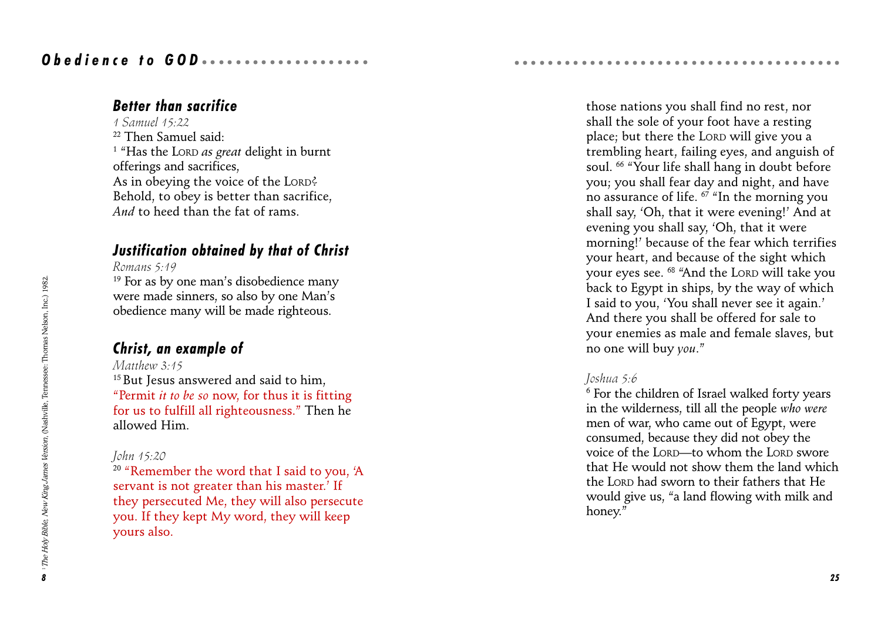### Better than sacrifice

1 Samuel 15:22 22 Then Samuel said:  $^{\text{\tiny{1}}}$  "Has the Lord *as great* delight in burnt offerings and sacrifices, As in obeying the voice of the LORD? Behold, to obey is better than sacrifice, And to heed than the fat of rams.

### Justification obtained by that of Christ

Romans 5:19

 $19$  For as by one man's disobedience many were made sinners, so also by one Man's obedience many will be made righteous.

### Christ, an example of

Matthew 3:15 <sup>15</sup> But Jesus answered and said to him, "Permit *it to be so now*, for thus it is fitting for us to fulfill all righteousness. Then he allowed Him.

#### John 15:20

<sup>20</sup> "Remember the word that I said to you, 'A servant is not greater than his master.' If they persecuted Me, they will also persecute you. If they kept My word, they will keep yours also.

those nations you shall find no rest, nor shall the sole of your foot have a resting place; but there the LORD will give you a trembling heart, failing eyes, and anguish of soul. <sup>66</sup> "Your life shall hang in doubt before you; you shall fear day and night, and have no assurance of life.  $67$  "In the morning you shall say, 'Oh, that it were evening!' And at evening you shall say, Oh, that it were morning!' because of the fear which terrifies your heart, and because of the sight which your eyes see. <sup>68</sup> "And the LORD will take you back to Egypt in ships, by the way of which I said to you, You shall never see it again. And there you shall be offered for sale to your enemies as male and female slaves, but no one will buy you.

aaaaaaaaaaaaaaaaaaaaaaaaaaaaaaaaaa aaaaa

#### Joshua 5:6

 $^{\rm 6}$  For the children of Israel walked forty years in the wilderness, till all the people who were men of war, who came out of Egypt, were consumed, because they did not obey the voice of the LORD-to whom the LORD swore that He would not show them the land which the LORD had sworn to their fathers that He would give us, "a land flowing with milk and honey."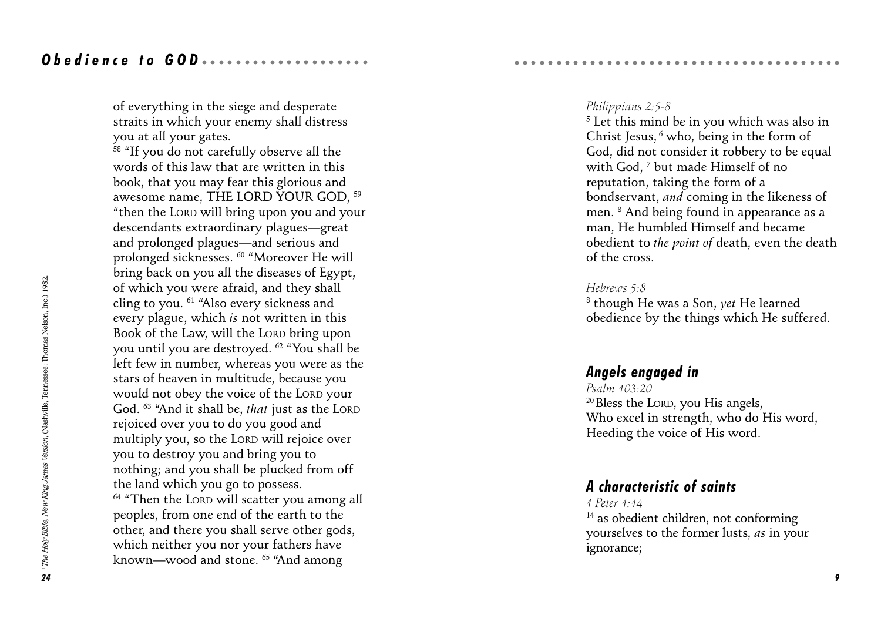of everything in the siege and desperate straits in which your enemy shall distress you at all your gates.

<sup>58</sup> "If you do not carefully observe all the words of this law that are written in this book, that you may fear this glorious and awesome name, THE LORD YOUR GOD, 59 then the LORD will bring upon you and your descendants extraordinary plagues-great and prolonged plagues—and serious and prolonged sicknesses. 60 Moreover He will bring back on you all the diseases of Egypt, of which you were afraid, and they shall cling to you. <sup>61</sup> "Also every sickness and every plague, which is not written in this Book of the Law, will the LORD bring upon you until you are destroyed. 62 You shall be left few in number, whereas you were as the stars of heaven in multitude, because you would not obey the voice of the LORD your God. <sup>63</sup> "And it shall be, *that* just as the LORD rejoiced over you to do you good and multiply you, so the LORD will rejoice over you to destroy you and bring you to nothing; and you shall be plucked from off the land which you go to possess.  $64$  "Then the LORD will scatter you among all peoples, from one end of the earth to the other, and there you shall serve other gods, which neither you nor your fathers have known—wood and stone. <sup>65</sup> "And among

#### Philippians 2:5-8

5 Let this mind be in you which was also in Christ Jesus, 6 who, being in the form of God, did not consider it robbery to be equal with God,  $^7$  but made Himself of no reputation, taking the form of a bondservant, and coming in the likeness of men. 8 And being found in appearance as a man, He humbled Himself and became obedient to the point of death, even the death of the cross.

aaaaaaaaaaaaaaaaaaaaaaaaaaaaaaaaaa aaaaa

#### Hebrews 5:8

 $^{\rm 8}$  though He was a Son,  $\it{yet}$  He learned obedience by the things which He suffered.

### Angels engaged in

Psalm 103:20 20 Bless the LORD, you His angels, Who excel in strength, who do His word, Heeding the voice of His word.

### A characteristic of saints

#### 1 Peter 1:14

14 as obedient children, not conforming yourselves to the former lusts, as in your ignorance;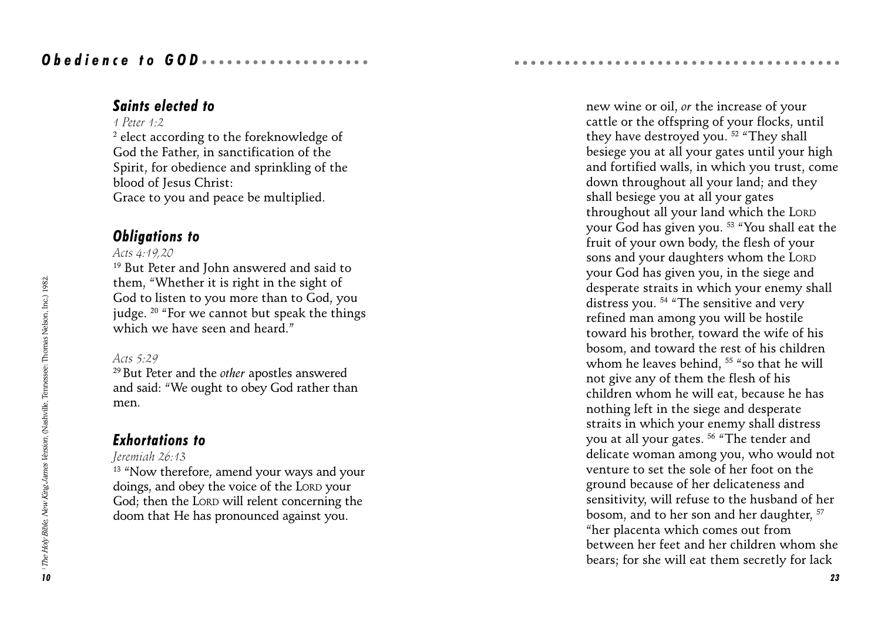### Saints elected to

#### 1 Peter 1:2

 $^{\rm 2}$  elect according to the foreknowledge of God the Father, in sanctification of the Spirit, for obedience and sprinkling of the blood of Jesus Christ: Grace to you and peace be multiplied.

### Obligations to

#### Acts 4:19,20

<sup>19</sup> But Peter and John answered and said to them, Whether it is right in the sight of God to listen to you more than to God, you judge.  $20$  "For we cannot but speak the things which we have seen and heard."

#### Acts 5:29

<sup>29</sup> But Peter and the *other* apostles answered and said: We ought to obey God rather than men.

### Exhortations to

#### Jeremiah 26:13

<sup>13</sup> "Now therefore, amend your ways and your doings, and obey the voice of the LORD your God; then the LORD will relent concerning the doom that He has pronounced against you.

new wine or oil, or the increase of your cattle or the offspring of your flocks, until they have destroyed you.  $52$  "They shall besiege you at all your gates until your high and fortified walls, in which you trust, come down throughout all your land; and they shall besiege you at all your gates throughout all your land which the LORD your God has given you.<sup>53</sup> "You shall eat the fruit of your own body, the flesh of your sons and your daughters whom the LORD your God has given you, in the siege and desperate straits in which your enemy shall distress you.  $54$  "The sensitive and very refined man among you will be hostile toward his brother, toward the wife of his bosom, and toward the rest of his children whom he leaves behind,  $55$  "so that he will not give any of them the flesh of his children whom he will eat, because he has nothing left in the siege and desperate straits in which your enemy shall distress you at all your gates. <sup>56</sup> "The tender and delicate woman among you, who would not venture to set the sole of her foot on the ground because of her delicateness and sensitivity, will refuse to the husband of her bosom, and to her son and her daughter, 57 her placenta which comes out from between her feet and her children whom she bears; for she will eat them secretly for lack

aaaaaaaaaaaaaaaaaaaaaaaaaaaaaaaaaa aaaaa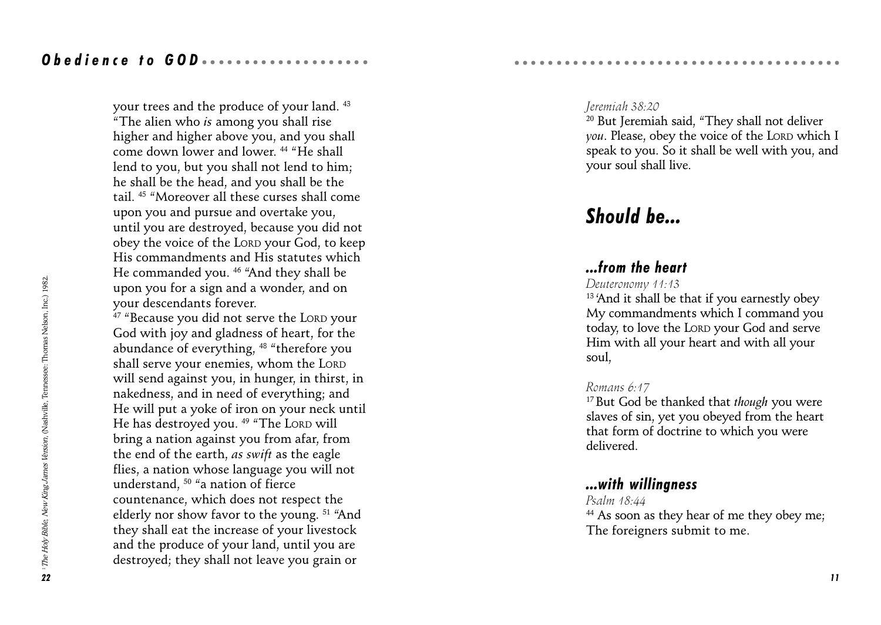your trees and the produce of your land. 43 The alien who is among you shall rise higher and higher above you, and you shall come down lower and lower.<sup>44</sup> "He shall lend to you, but you shall not lend to him; he shall be the head, and you shall be the tail. 45 Moreover all these curses shall come upon you and pursue and overtake you, until you are destroyed, because you did not obey the voice of the LORD your God, to keep His commandments and His statutes which He commanded you.<sup>46</sup> "And they shall be upon you for a sign and a wonder, and on your descendants forever.

<sup>47</sup> "Because you did not serve the LORD your God with joy and gladness of heart, for the abundance of everything, <sup>48</sup> "therefore you shall serve your enemies, whom the LORD will send against you, in hunger, in thirst, in nakedness, and in need of everything; and He will put a yoke of iron on your neck until He has destroyed you.<sup>49 "</sup>The LORD will bring a nation against you from afar, from the end of the earth, as swift as the eagle flies, a nation whose language you will not understand,  $50$  "a nation of fierce countenance, which does not respect the elderly nor show favor to the young.<sup>51</sup> "And they shall eat the increase of your livestock and the produce of your land, until you are destroyed; they shall not leave you grain or

<sup>20</sup> But Jeremiah said, "They shall not deliver you. Please, obey the voice of the LORD which I speak to you. So it shall be well with you, and your soul shall live.

aaaaaaaaaaaaaaaaaaaaaaaaaaaaaaaaaa aaaaa

## Should be...

### ...from the heart

Deuteronomy 11:13

<sup>13</sup> 'And it shall be that if you earnestly obey My commandments which I command you today, to love the LORD your God and serve Him with all your heart and with all your soul,

### Romans 6:17

 $17$  But God be thanked that though you were slaves of sin, yet you obeyed from the heart that form of doctrine to which you were delivered.

### ...with willingness

#### Psalm 18:44

<sup>44</sup> As soon as they hear of me they obey me; The foreigners submit to me.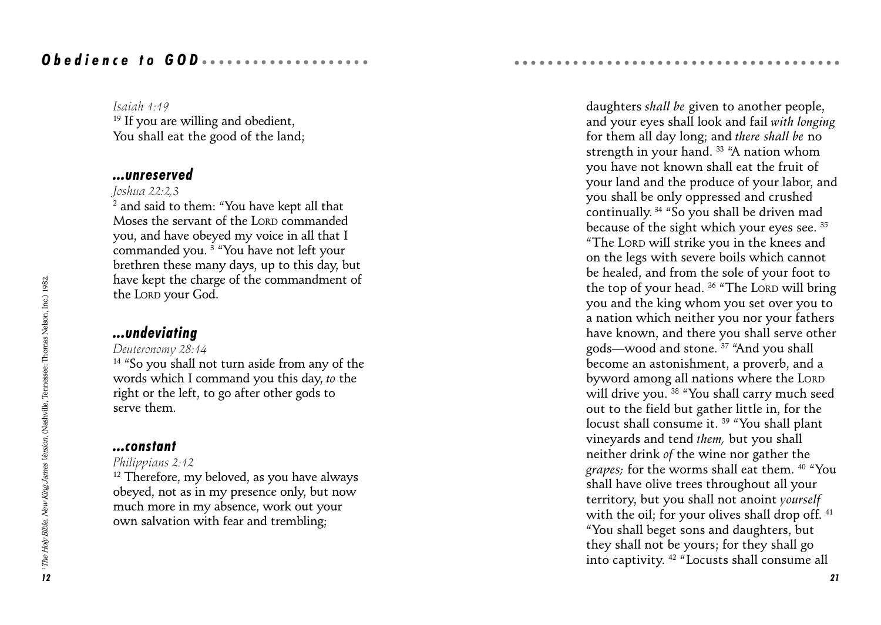Isaiah 1:19

<sup>19</sup> If you are willing and obedient. You shall eat the good of the land;

#### ...unreserved

#### Joshua 22:2,3

 $^{\rm 2}$  and said to them: "You have kept all that Moses the servant of the LORD commanded you, and have obeyed my voice in all that I commanded you. <sup>3</sup> "You have not left your brethren these many days, up to this day, but have kept the charge of the commandment of the LORD your God.

#### ...undeviating

#### Deuteronomy 28:14

 $14$  "So you shall not turn aside from any of the words which I command you this day, to the right or the left, to go after other gods to serve them.

#### ...constant

#### Philippians 2:12

<sup>12</sup> Therefore, my beloved, as you have always obeyed, not as in my presence only, but now much more in my absence, work out your own salvation with fear and trembling;

daughters shall be given to another people, and your eyes shall look and fail with longing for them all day long; and there shall be no strength in your hand.  $33$  "A nation whom you have not known shall eat the fruit of your land and the produce of your labor, and you shall be only oppressed and crushed continually.  $34$  "So you shall be driven mad because of the sight which your eyes see. 35 The LORD will strike you in the knees and on the legs with severe boils which cannot be healed, and from the sole of your foot to the top of your head.  $36$  "The LORD will bring you and the king whom you set over you to a nation which neither you nor your fathers have known, and there you shall serve other gods—wood and stone. <sup>37</sup> "And you shall become an astonishment, a proverb, and a byword among all nations where the LORD will drive you. <sup>38</sup> "You shall carry much seed out to the field but gather little in, for the locust shall consume it.<sup>39</sup> "You shall plant vineyards and tend them, but you shall neither drink of the wine nor gather the grapes; for the worms shall eat them. 40 You shall have olive trees throughout all your territory, but you shall not anoint yourself with the oil; for your olives shall drop off. 41 You shall beget sons and daughters, but they shall not be yours; for they shall go into captivity.<sup>42</sup> "Locusts shall consume all

aaaaaaaaaaaaaaaaaaaaaaaaaaaaaaaaaa aaaaa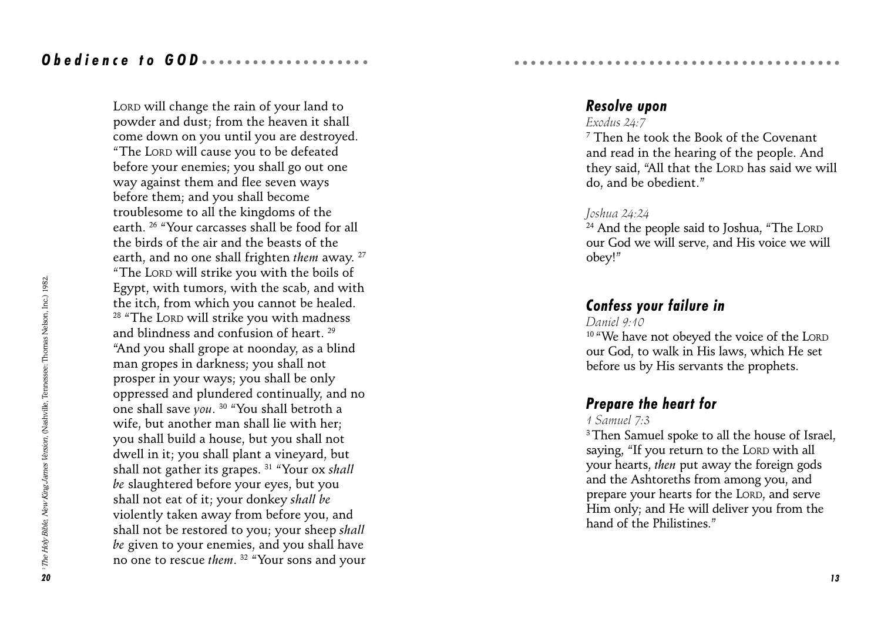LORD will change the rain of your land to powder and dust; from the heaven it shall come down on you until you are destroyed. The LORD will cause you to be defeated before your enemies; you shall go out one way against them and flee seven ways before them; and you shall become troublesome to all the kingdoms of the earth. 26 Your carcasses shall be food for all the birds of the air and the beasts of the earth, and no one shall frighten them away. <sup>27</sup> The LORD will strike you with the boils of Egypt, with tumors, with the scab, and with the itch, from which you cannot be healed. <sup>28</sup> "The LORD will strike you with madness and blindness and confusion of heart. 29 And you shall grope at noonday, as a blind man gropes in darkness; you shall not prosper in your ways; you shall be only oppressed and plundered continually, and no one shall save you.  $30$  "You shall betroth a wife, but another man shall lie with her; you shall build a house, but you shall not dwell in it; you shall plant a vineyard, but shall not gather its grapes.<sup>31</sup> "Your ox shall be slaughtered before your eyes, but you shall not eat of it; your donkey shall be violently taken away from before you, and shall not be restored to you; your sheep shall be given to your enemies, and you shall have no one to rescue them. <sup>32</sup> "Your sons and your

#### Resolve upon

#### Exodus  $24.7$

7 Then he took the Book of the Covenant and read in the hearing of the people. And they said, "All that the LORD has said we will do, and be obedient.

aaaaaaaaaaaaaaaaaaaaaaaaaaaaaaaaaa aaaaa

#### Joshua 24:24

<sup>24</sup> And the people said to Joshua, "The LORD our God we will serve, and His voice we will obey!

### Confess your failure in

#### Daniel 9:10

<sup>10</sup> "We have not obeyed the voice of the LORD our God, to walk in His laws, which He set before us by His servants the prophets.

### Prepare the heart for

#### 1 Samuel 7:3

<sup>3</sup> Then Samuel spoke to all the house of Israel, saying. "If you return to the LORD with all your hearts, then put away the foreign gods and the Ashtoreths from among you, and prepare your hearts for the LORD, and serve Him only; and He will deliver you from the hand of the Philistines."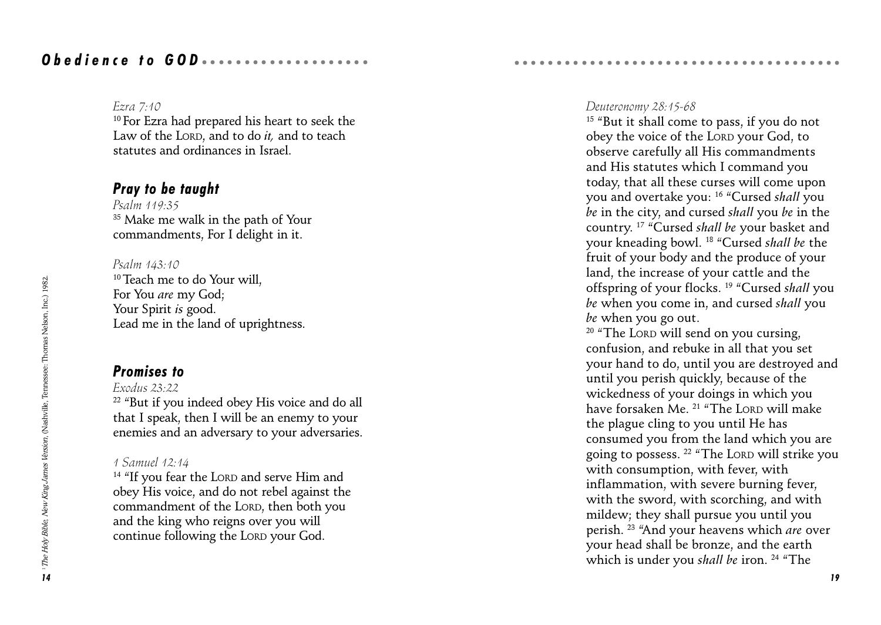#### Ezra 7:10

10 For Ezra had prepared his heart to seek the Law of the LORD, and to do  $it$ , and to teach statutes and ordinances in Israel.

### Pray to be taught

Psalm 119:35 <sup>35</sup> Make me walk in the path of Your commandments, For I delight in it.

Psalm 143:10 <sup>10</sup> Teach me to do Your will. For You are my God; Your Spirit *is* good. Lead me in the land of uprightness.

### Promises to

Exodus 23:22 <sup>22</sup> "But if you indeed obey His voice and do all that I speak, then I will be an enemy to your enemies and an adversary to your adversaries.

#### 1 Samuel 12:14

<sup>14</sup> "If you fear the LORD and serve Him and obey His voice, and do not rebel against the commandment of the LORD, then both you and the king who reigns over you will continue following the LORD your God.

#### Deuteronomy 28:15-68

aaaaaaaaaaaaaaaaaaaaaaaaaaaaaaaaaa aaaaa

 $15$  "But it shall come to pass, if you do not obey the voice of the LORD your God, to observe carefully all His commandments and His statutes which I command you today, that all these curses will come upon you and overtake you: <sup>16</sup> "Cursed shall you be in the city, and cursed shall you be in the country.<sup>17</sup> "Cursed shall be your basket and your kneading bowl. <sup>18</sup> "Cursed shall be the fruit of your body and the produce of your land, the increase of your cattle and the offspring of your flocks.<sup>19</sup> "Cursed shall you be when you come in, and cursed shall you be when you go out.

 $20$  "The LORD will send on you cursing, confusion, and rebuke in all that you set your hand to do, until you are destroyed and until you perish quickly, because of the wickedness of your doings in which you have forsaken Me. <sup>21</sup> "The LORD will make the plague cling to you until He has consumed you from the land which you are going to possess. <sup>22</sup> "The LORD will strike you with consumption, with fever, with inflammation, with severe burning fever, with the sword, with scorching, and with mildew; they shall pursue you until you perish. <sup>23</sup> "And your heavens which are over your head shall be bronze, and the earth which is under you shall be iron.  $24$  "The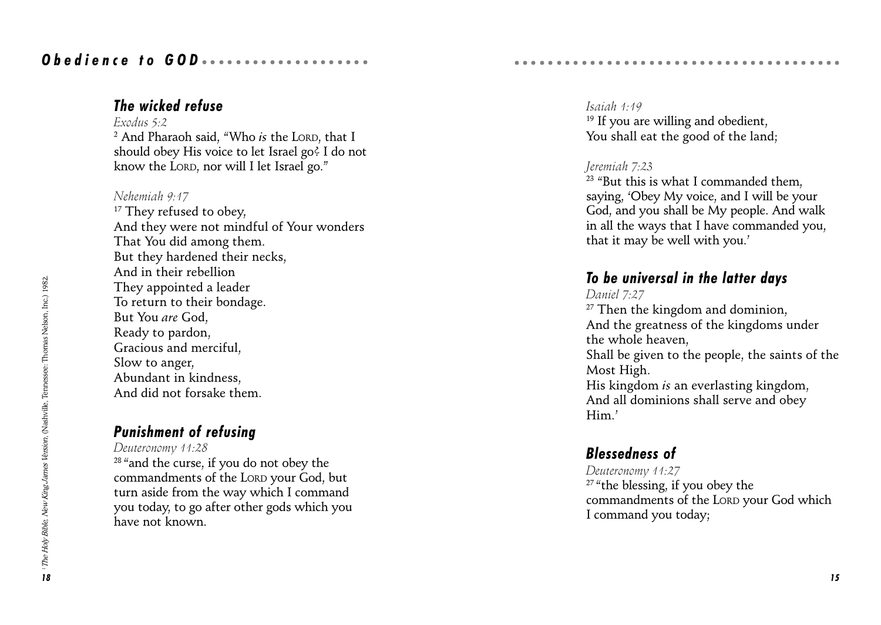### The wicked refuse

Exodus 5:2 <sup>2</sup> And Pharaoh said, "Who *is* the Loro, that I should obey His voice to let Israel go? I do not know the LORD, nor will I let Israel go.

#### Nehemiah 9:17

<sup>17</sup> They refused to obey. And they were not mindful of Your wonders That You did among them. But they hardened their necks, And in their rebellion They appointed a leader To return to their bondage. But You are God, Ready to pardon, Gracious and merciful, Slow to anger, Abundant in kindness, And did not forsake them.

### Punishment of refusing

Deuteronomy 11:28

<sup>28</sup> "and the curse, if you do not obey the commandments of the LORD your God, but turn aside from the way which I command you today, to go after other gods which you have not known.

#### Isaiah 1:19 <sup>19</sup> If you are willing and obedient. You shall eat the good of the land;

aaaaaaaaaaaaaaaaaaaaaaaaaaaaaaaaaa aaaaa

#### Jeremiah 7:23

 $23$  "But this is what I commanded them. saying, Obey My voice, and I will be your God, and you shall be My people. And walk in all the ways that I have commanded you, that it may be well with you.

### To be universal in the latter days

#### Daniel 7:27

<sup>27</sup> Then the kingdom and dominion, And the greatness of the kingdoms under the whole heaven, Shall be given to the people, the saints of the Most High. His kingdom is an everlasting kingdom, And all dominions shall serve and obey Him.

### Blessedness of

Deuteronomy 11:27  $27$  "the blessing, if you obey the commandments of the LORD your God which I command you today;